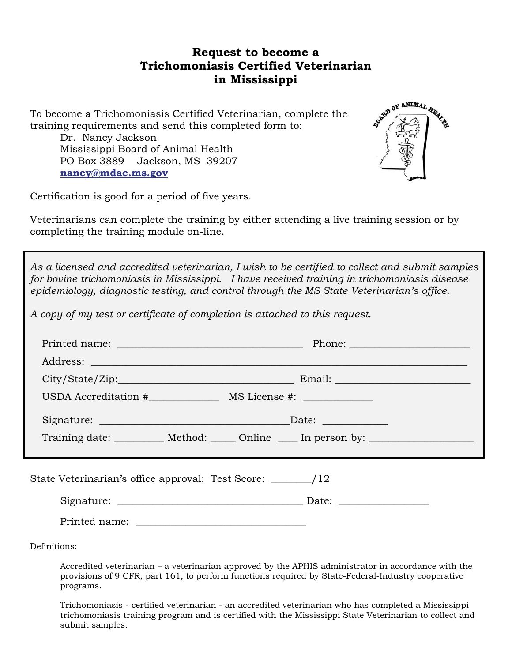## **Request to become a Trichomoniasis Certified Veterinarian in Mississippi**

To become a Trichomoniasis Certified Veterinarian, complete the training requirements and send this completed form to:

Dr. Nancy Jackson Mississippi Board of Animal Health PO Box 3889 Jackson, MS 39207 **[nancy@mdac.m](mailto:nancy@mdac.)s.gov**



Certification is good for a period of five years.

Veterinarians can complete the training by either attending a live training session or by completing the training module on-line.

*As a licensed and accredited veterinarian, I wish to be certified to collect and submit samples for bovine trichomoniasis in Mississippi. I have received training in trichomoniasis disease epidemiology, diagnostic testing, and control through the MS State Veterinarian's office.* 

*A copy of my test or certificate of completion is attached to this request.* 

| Training date: ___________ Method: ______ Online _____ In person by: ____________ |  |
|-----------------------------------------------------------------------------------|--|
|                                                                                   |  |
|                                                                                   |  |
|                                                                                   |  |
|                                                                                   |  |

Definitions:

Accredited veterinarian – a veterinarian approved by the APHIS administrator in accordance with the provisions of 9 CFR, part 161, to perform functions required by State-Federal-Industry cooperative programs.

Trichomoniasis - certified veterinarian - an accredited veterinarian who has completed a Mississippi trichomoniasis training program and is certified with the Mississippi State Veterinarian to collect and submit samples.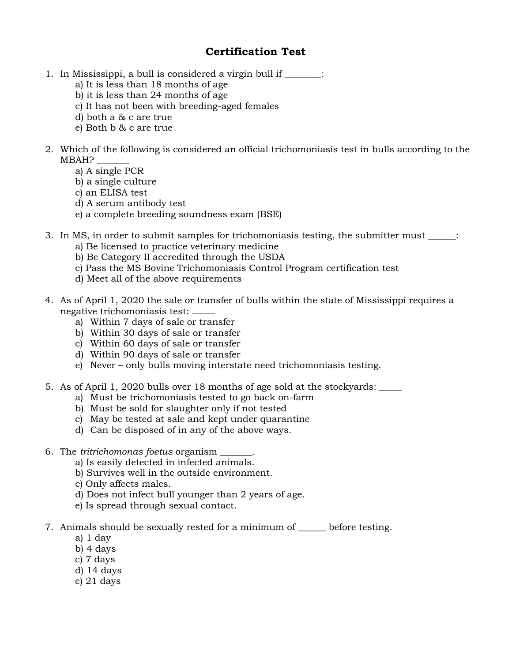## **Certification Test**

- 1. In Mississippi, a bull is considered a virgin bull if \_\_\_\_\_\_\_:
	- a) It is less than 18 months of age
	- b) it is less than 24 months of age
	- c) It has not been with breeding-aged females
	- d) both a & c are true
	- e) Both b & c are true
- 2. Which of the following is considered an official trichomoniasis test in bulls according to the MBAH? \_\_\_\_\_\_\_
	- a) A single PCR
	- b) a single culture
	- c) an ELISA test
	- d) A serum antibody test
	- e) a complete breeding soundness exam (BSE)
- 3. In MS, in order to submit samples for trichomoniasis testing, the submitter must :
	- a) Be licensed to practice veterinary medicine
	- b) Be Category II accredited through the USDA
	- c) Pass the MS Bovine Trichomoniasis Control Program certification test
	- d) Meet all of the above requirements
- 4. As of April 1, 2020 the sale or transfer of bulls within the state of Mississippi requires a negative trichomoniasis test: \_\_\_\_\_
	- a) Within 7 days of sale or transfer
	- b) Within 30 days of sale or transfer
	- c) Within 60 days of sale or transfer
	- d) Within 90 days of sale or transfer
	- e) Never only bulls moving interstate need trichomoniasis testing.
- 5. As of April 1, 2020 bulls over 18 months of age sold at the stockyards: \_\_\_\_\_
	- a) Must be trichomoniasis tested to go back on-farm
	- b) Must be sold for slaughter only if not tested
	- c) May be tested at sale and kept under quarantine
	- d) Can be disposed of in any of the above ways.
- 6. The *tritrichomonas foetus* organism \_\_\_\_\_\_\_.
	- a) Is easily detected in infected animals.
	- b) Survives well in the outside environment.
	- c) Only affects males.
	- d) Does not infect bull younger than 2 years of age.
	- e) Is spread through sexual contact.
- 7. Animals should be sexually rested for a minimum of before testing.
	- a) 1 day
	- b) 4 days
	- c) 7 days
	- d) 14 days
	- e) 21 days